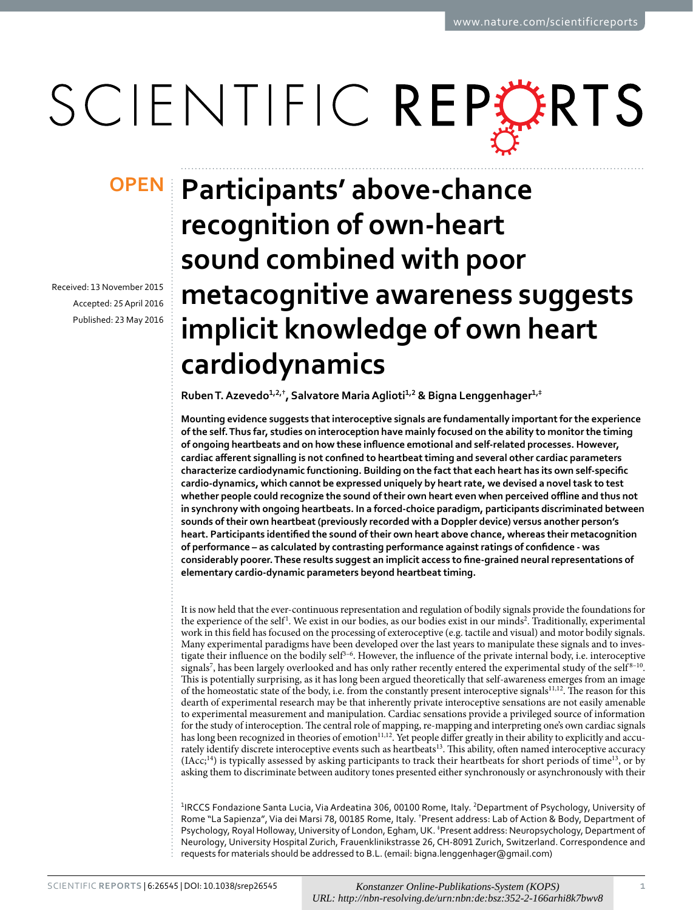# SCIENTIFIC REPERTS

Received: 13 November 2015 accepted: 25 April 2016 Published: 23 May 2016

## **Participants' above-chance OPEN recognition of own-heart sound combined with poor metacognitive awareness suggests implicit knowledge of own heart cardiodynamics**

**RubenT.Azevedo<sup>1</sup>,2,† , Salvatore MariaAglioti<sup>1</sup>,<sup>2</sup> & Bigna Lenggenhager<sup>1</sup>,‡**

**Mounting evidence suggests that interoceptive signals are fundamentally important for the experience of the self. Thus far, studies on interoception have mainly focused on the ability to monitor the timing of ongoing heartbeats and on how these influence emotional and self-related processes. However, cardiac afferent signalling is not confined to heartbeat timing and several other cardiac parameters characterize cardiodynamic functioning. Building on the fact that each heart has its own self-specific cardio-dynamics, which cannot be expressed uniquely by heart rate, we devised a novel task to test whether people could recognize the sound of their own heart even when perceived offline and thus not in synchrony with ongoing heartbeats. In a forced-choice paradigm, participants discriminated between sounds of their own heartbeat (previously recorded with a Doppler device) versus another person's heart. Participants identified the sound of their own heart above chance, whereas their metacognition of performance – as calculated by contrasting performance against ratings of confidence - was considerably poorer. These results suggest an implicit access to fine-grained neural representations of elementary cardio-dynamic parameters beyond heartbeat timing.**

It is now held that the ever-continuous representation and regulation of bodily signals provide the foundations for the experience of the self<sup>[1](#page-5-0)</sup>. We exist in our bodies, as our bodies exist in our minds<sup>2</sup>. Traditionally, experimental work in this field has focused on the processing of exteroceptive (e.g. tactile and visual) and motor bodily signals. Many experimental paradigms have been developed over the last years to manipulate these signals and to investigate their influence on the bodily self<sup>3-6</sup>. However, the influence of the private internal body, i.e. interoceptive signals<sup>7</sup>, has been largely overlooked and has only rather recently entered the experimental study of the self<sup>8-10</sup>. This is potentially surprising, as it has long been argued theoretically that self-awareness emerges from an image of the homeostatic state of the body, i.e. from the constantly present interoceptive signals<sup>11[,12](#page-5-6)</sup>. The reason for this dearth of experimental research may be that inherently private interoceptive sensations are not easily amenable to experimental measurement and manipulation. Cardiac sensations provide a privileged source of information for the study of interoception. The central role of mapping, re-mapping and interpreting one's own cardiac signals has long been recognized in theories of emotion<sup>[11](#page-5-5),12</sup>. Yet people differ greatly in their ability to explicitly and accurately identify discrete interoceptive events such as heartbeats<sup>13</sup>. This ability, often named interoceptive accuracy  $(1Acc;^{14})$  $(1Acc;^{14})$  $(1Acc;^{14})$  is typically assessed by asking participants to track their heartbeats for short periods of time<sup>13</sup>, or by asking them to discriminate between auditory tones presented either synchronously or asynchronously with their

<sup>1</sup>IRCCS Fondazione Santa Lucia, Via Ardeatina 306, 00100 Rome, Italy. <sup>2</sup>Department of Psychology, University of Rome "La Sapienza", Via dei Marsi 78, 00185 Rome, Italy. † Present address: Lab of Action & Body, Department of Psychology, Royal Holloway, University of London, Egham, UK. ‡ Present address: Neuropsychology, Department of Neurology, University Hospital Zurich, Frauenklinikstrasse 26, CH-8091 Zurich, Switzerland. Correspondence and requests for materials should be addressed to B.L. (email: [bigna.lenggenhager@gmail.com](mailto:bigna.lenggenhager@gmail.com))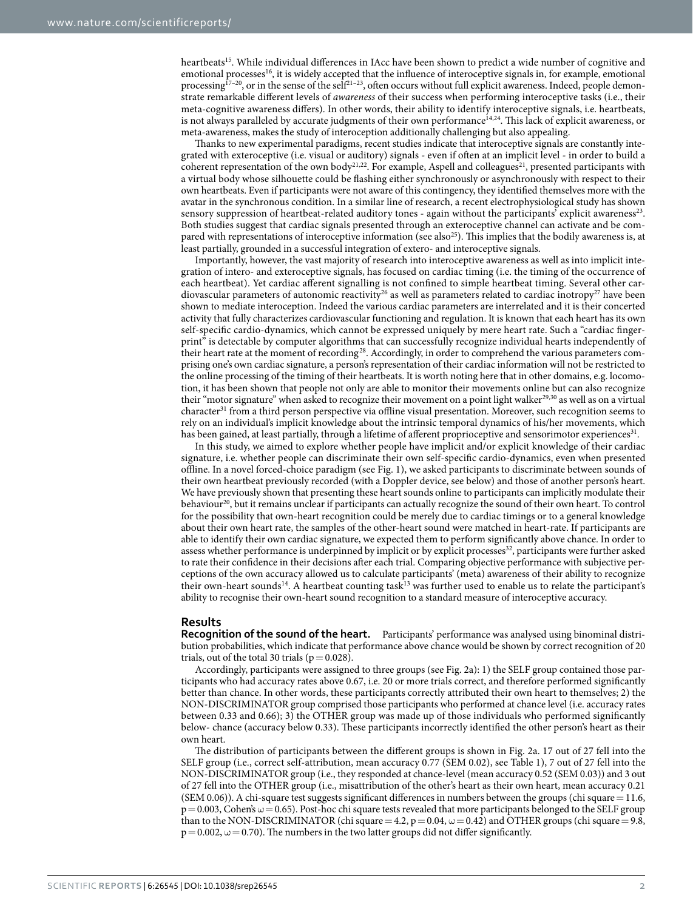heartbeat[s15](#page-5-9). While individual differences in IAcc have been shown to predict a wide number of cognitive and emotional processes<sup>16</sup>, it is widely accepted that the influence of interoceptive signals in, for example, emotional processing<sup>17-20</sup>, or in the sense of the self<sup>21-23</sup>, often occurs without full explicit awareness. Indeed, people demonstrate remarkable different levels of *awareness* of their success when performing interoceptive tasks (i.e., their meta-cognitive awareness differs). In other words, their ability to identify interoceptive signals, i.e. heartbeats, is not always paralleled by accurate judgments of their own performance<sup>14[,24](#page-6-1)</sup>. This lack of explicit awareness, or meta-awareness, makes the study of interoception additionally challenging but also appealing.

Thanks to new experimental paradigms, recent studies indicate that interoceptive signals are constantly integrated with exteroceptive (i.e. visual or auditory) signals - even if often at an implicit level - in order to build a coherent representation of the own body<sup>[21](#page-6-0),[22](#page-6-2)</sup>. For example, Aspell and colleagues<sup>21</sup>, presented participants with a virtual body whose silhouette could be flashing either synchronously or asynchronously with respect to their own heartbeats. Even if participants were not aware of this contingency, they identified themselves more with the avatar in the synchronous condition. In a similar line of research, a recent electrophysiological study has shown sensory suppression of heartbeat-related auditory tones - again without the participants' explicit awareness<sup>23</sup>. Both studies suggest that cardiac signals presented through an exteroceptive channel can activate and be com-pared with representations of interoceptive information (see also<sup>[25](#page-6-4)</sup>). This implies that the bodily awareness is, at least partially, grounded in a successful integration of extero- and interoceptive signals.

Importantly, however, the vast majority of research into interoceptive awareness as well as into implicit integration of intero- and exteroceptive signals, has focused on cardiac timing (i.e. the timing of the occurrence of each heartbeat). Yet cardiac afferent signalling is not confined to simple heartbeat timing. Several other car-diovascular parameters of autonomic reactivity<sup>[26](#page-6-5)</sup> as well as parameters related to cardiac inotropy<sup>[27](#page-6-6)</sup> have been shown to mediate interoception. Indeed the various cardiac parameters are interrelated and it is their concerted activity that fully characterizes cardiovascular functioning and regulation. It is known that each heart has its own self-specific cardio-dynamics, which cannot be expressed uniquely by mere heart rate. Such a "cardiac fingerprint" is detectable by computer algorithms that can successfully recognize individual hearts independently of their heart rate at the moment of recording<sup>28</sup>. Accordingly, in order to comprehend the various parameters comprising one's own cardiac signature, a person's representation of their cardiac information will not be restricted to the online processing of the timing of their heartbeats. It is worth noting here that in other domains, e.g. locomotion, it has been shown that people not only are able to monitor their movements online but can also recognize their "motor signature" when asked to recognize their movement on a point light walker<sup>29,30</sup> as well as on a virtual character<sup>31</sup> from a third person perspective via offline visual presentation. Moreover, such recognition seems to rely on an individual's implicit knowledge about the intrinsic temporal dynamics of his/her movements, which has been gained, at least partially, through a lifetime of afferent proprioceptive and sensorimotor experiences<sup>31</sup>.

In this study, we aimed to explore whether people have implicit and/or explicit knowledge of their cardiac signature, i.e. whether people can discriminate their own self-specific cardio-dynamics, even when presented offline. In a novel forced-choice paradigm (see [Fig. 1](#page-2-0)), we asked participants to discriminate between sounds of their own heartbeat previously recorded (with a Doppler device, see below) and those of another person's heart. We have previously shown that presenting these heart sounds online to participants can implicitly modulate their behaviour<sup>[20](#page-6-11)</sup>, but it remains unclear if participants can actually recognize the sound of their own heart. To control for the possibility that own-heart recognition could be merely due to cardiac timings or to a general knowledge about their own heart rate, the samples of the other-heart sound were matched in heart-rate. If participants are able to identify their own cardiac signature, we expected them to perform significantly above chance. In order to assess whether performance is underpinned by implicit or by explicit processes<sup>[32](#page-6-12)</sup>, participants were further asked to rate their confidence in their decisions after each trial. Comparing objective performance with subjective perceptions of the own accuracy allowed us to calculate participants' (meta) awareness of their ability to recognize their own-heart sounds<sup>14</sup>. A heartbeat counting task<sup>13</sup> was further used to enable us to relate the participant's ability to recognise their own-heart sound recognition to a standard measure of interoceptive accuracy.

#### **Results**

**Recognition of the sound of the heart.** Participants' performance was analysed using binominal distribution probabilities, which indicate that performance above chance would be shown by correct recognition of 20 trials, out of the total 30 trials ( $p=0.028$ ).

Accordingly, participants were assigned to three groups (see [Fig. 2a](#page-3-0)): 1) the SELF group contained those participants who had accuracy rates above 0.67, i.e. 20 or more trials correct, and therefore performed significantly better than chance. In other words, these participants correctly attributed their own heart to themselves; 2) the NON-DISCRIMINATOR group comprised those participants who performed at chance level (i.e. accuracy rates between 0.33 and 0.66); 3) the OTHER group was made up of those individuals who performed significantly below- chance (accuracy below 0.33). These participants incorrectly identified the other person's heart as their own heart.

The distribution of participants between the different groups is shown in [Fig. 2a](#page-3-0). 17 out of 27 fell into the SELF group (i.e., correct self-attribution, mean accuracy 0.77 (SEM 0.02), see [Table 1\)](#page-3-1), 7 out of 27 fell into the NON-DISCRIMINATOR group (i.e., they responded at chance-level (mean accuracy 0.52 (SEM 0.03)) and 3 out of 27 fell into the OTHER group (i.e., misattribution of the other's heart as their own heart, mean accuracy 0.21 (SEM 0.06)). A chi-square test suggests significant differences in numbers between the groups (chi square = 11.6,  $p= 0.003$ , Cohen's  $\omega = 0.65$ ). Post-hoc chi square tests revealed that more participants belonged to the SELF group than to the NON-DISCRIMINATOR (chi square = 4.2,  $p = 0.04$ ,  $\omega = 0.42$ ) and OTHER groups (chi square = 9.8,  $p=0.002$ ,  $\omega=0.70$ ). The numbers in the two latter groups did not differ significantly.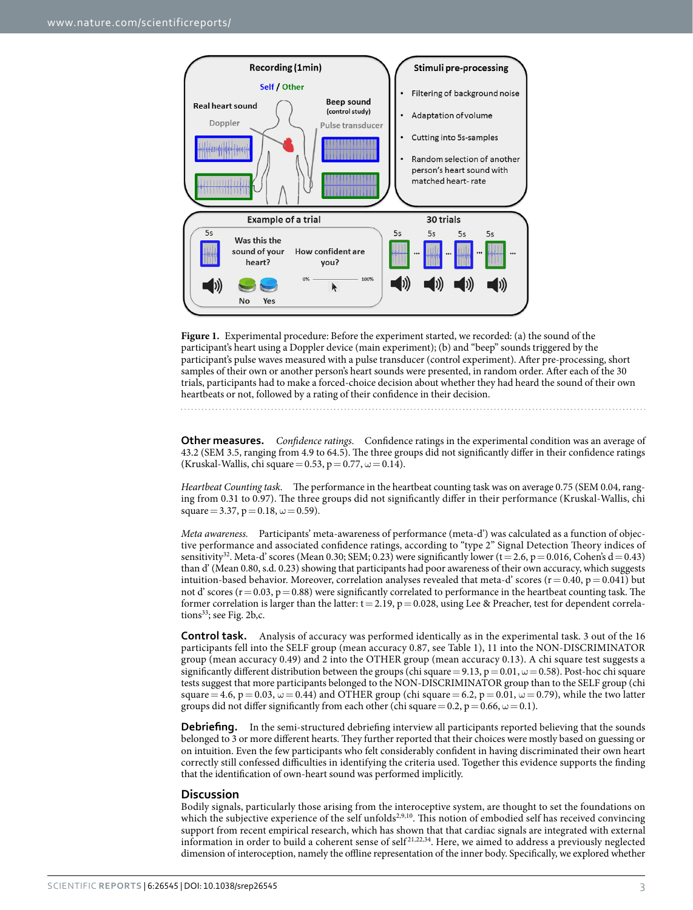

<span id="page-2-0"></span>**Figure 1.** Experimental procedure: Before the experiment started, we recorded: (a) the sound of the participant's heart using a Doppler device (main experiment); (b) and "beep" sounds triggered by the participant's pulse waves measured with a pulse transducer (control experiment). After pre-processing, short samples of their own or another person's heart sounds were presented, in random order. After each of the 30 trials, participants had to make a forced-choice decision about whether they had heard the sound of their own heartbeats or not, followed by a rating of their confidence in their decision.

**Other measures.** *Confidence ratings*. Confidence ratings in the experimental condition was an average of 43.2 (SEM 3.5, ranging from 4.9 to 64.5). The three groups did not significantly differ in their confidence ratings (Kruskal-Wallis, chi square = 0.53, p = 0.77,  $\omega$  = 0.14).

*Heartbeat Counting task.* The performance in the heartbeat counting task was on average 0.75 (SEM 0.04, ranging from 0.31 to 0.97). The three groups did not significantly differ in their performance (Kruskal-Wallis, chi square = 3.37,  $p = 0.18$ ,  $\omega = 0.59$ ).

*Meta awareness.* Participants' meta-awareness of performance (meta-d') was calculated as a function of objective performance and associated confidence ratings, according to "type 2" Signal Detection Theory indices of sensitivity<sup>[32](#page-6-12)</sup>. Meta-d' scores (Mean 0.30; SEM; 0.23) were significantly lower (t = 2.6, p = 0.016, Cohen's d = 0.43) than d' (Mean 0.80, s.d. 0.23) showing that participants had poor awareness of their own accuracy, which suggests intuition-based behavior. Moreover, correlation analyses revealed that meta-d' scores ( $r = 0.40$ ,  $p = 0.041$ ) but not d' scores ( $r=0.03$ ,  $p=0.88$ ) were significantly correlated to performance in the heartbeat counting task. The former correlation is larger than the latter:  $t = 2.19$ ,  $p = 0.028$ , using Lee & Preacher, test for dependent correla-tions<sup>33</sup>; see [Fig. 2b,c.](#page-3-0)

**Control task.** Analysis of accuracy was performed identically as in the experimental task. 3 out of the 16 participants fell into the SELF group (mean accuracy 0.87, see [Table 1](#page-3-1)), 11 into the NON-DISCRIMINATOR group (mean accuracy 0.49) and 2 into the OTHER group (mean accuracy 0.13). A chi square test suggests a significantly different distribution between the groups (chi square = 9.13, p = 0.01,  $\omega$  = 0.58). Post-hoc chi square tests suggest that more participants belonged to the NON-DISCRIMINATOR group than to the SELF group (chi square = 4.6, p = 0.03,  $\omega$  = 0.44) and OTHER group (chi square = 6.2, p = 0.01,  $\omega$  = 0.79), while the two latter groups did not differ significantly from each other (chi square = 0.2, p = 0.66,  $\omega$  = 0.1).

**Debriefing.** In the semi-structured debriefing interview all participants reported believing that the sounds belonged to 3 or more different hearts. They further reported that their choices were mostly based on guessing or on intuition. Even the few participants who felt considerably confident in having discriminated their own heart correctly still confessed difficulties in identifying the criteria used. Together this evidence supports the finding that the identification of own-heart sound was performed implicitly.

#### **Discussion**

Bodily signals, particularly those arising from the interoceptive system, are thought to set the foundations on which the subjective experience of the self unfolds<sup>[2](#page-5-1),[9,](#page-5-12)10</sup>. This notion of embodied self has received convincing support from recent empirical research, which has shown that that cardiac signals are integrated with external information in order to build a coherent sense of self [21](#page-6-0),[22](#page-6-2),[34](#page-6-14). Here, we aimed to address a previously neglected dimension of interoception, namely the offline representation of the inner body. Specifically, we explored whether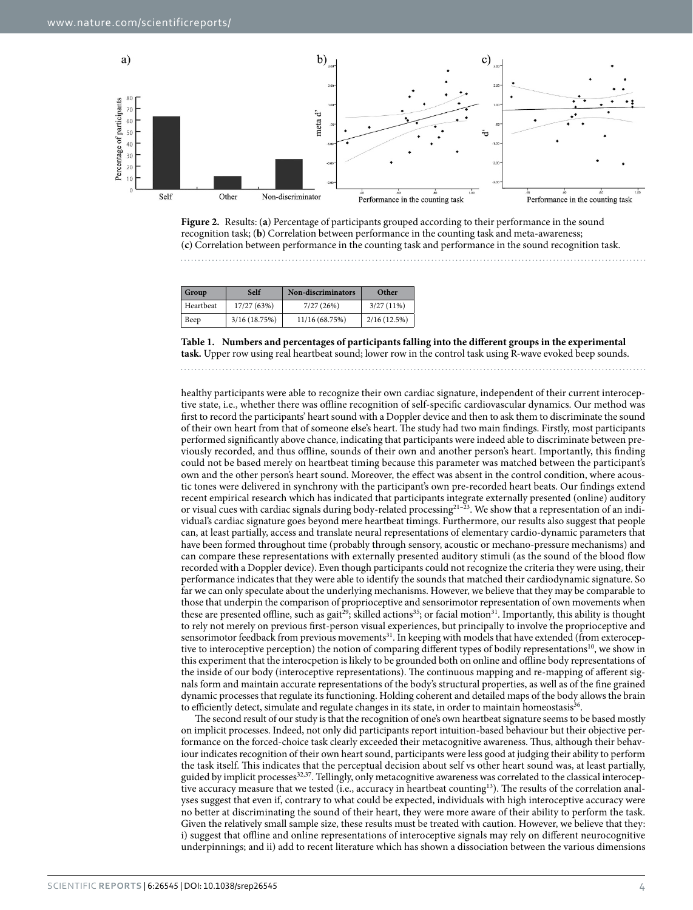

<span id="page-3-0"></span>

<span id="page-3-1"></span>

| Group     | Self         | <b>Non-discriminators</b> | Other       |
|-----------|--------------|---------------------------|-------------|
| Heartbeat | 17/27 (63%)  | 7/27(26%)                 | 3/27(11%)   |
| Beep      | 3/16(18.75%) | 11/16 (68.75%)            | 2/16(12.5%) |

**Table 1. Numbers and percentages of participants falling into the different groups in the experimental task.** Upper row using real heartbeat sound; lower row in the control task using R-wave evoked beep sounds.

healthy participants were able to recognize their own cardiac signature, independent of their current interoceptive state, i.e., whether there was offline recognition of self-specific cardiovascular dynamics. Our method was first to record the participants' heart sound with a Doppler device and then to ask them to discriminate the sound of their own heart from that of someone else's heart. The study had two main findings. Firstly, most participants performed significantly above chance, indicating that participants were indeed able to discriminate between previously recorded, and thus offline, sounds of their own and another person's heart. Importantly, this finding could not be based merely on heartbeat timing because this parameter was matched between the participant's own and the other person's heart sound. Moreover, the effect was absent in the control condition, where acoustic tones were delivered in synchrony with the participant's own pre-recorded heart beats. Our findings extend recent empirical research which has indicated that participants integrate externally presented (online) auditory or visual cues with cardiac signals during body-related processing[21–23.](#page-6-0) We show that a representation of an individual's cardiac signature goes beyond mere heartbeat timings. Furthermore, our results also suggest that people can, at least partially, access and translate neural representations of elementary cardio-dynamic parameters that have been formed throughout time (probably through sensory, acoustic or mechano-pressure mechanisms) and can compare these representations with externally presented auditory stimuli (as the sound of the blood flow recorded with a Doppler device). Even though participants could not recognize the criteria they were using, their performance indicates that they were able to identify the sounds that matched their cardiodynamic signature. So far we can only speculate about the underlying mechanisms. However, we believe that they may be comparable to those that underpin the comparison of proprioceptive and sensorimotor representation of own movements when these are presented offline, such as gait<sup>29</sup>; skilled actions<sup>35</sup>; or facial motion<sup>31</sup>. Importantly, this ability is thought to rely not merely on previous first-person visual experiences, but principally to involve the proprioceptive and sensorimotor feedback from previous movements<sup>31</sup>. In keeping with models that have extended (from exteroceptive to interoceptive perception) the notion of comparing different types of bodily representations<sup>10</sup>, we show in this experiment that the interocpetion is likely to be grounded both on online and offline body representations of the inside of our body (interoceptive representations). The continuous mapping and re-mapping of afferent signals form and maintain accurate representations of the body's structural properties, as well as of the fine grained dynamic processes that regulate its functioning. Holding coherent and detailed maps of the body allows the brain to efficiently detect, simulate and regulate changes in its state, in order to maintain homeostasis<sup>36</sup>.

The second result of our study is that the recognition of one's own heartbeat signature seems to be based mostly on implicit processes. Indeed, not only did participants report intuition-based behaviour but their objective performance on the forced-choice task clearly exceeded their metacognitive awareness. Thus, although their behaviour indicates recognition of their own heart sound, participants were less good at judging their ability to perform the task itself. This indicates that the perceptual decision about self vs other heart sound was, at least partially, guided by implicit processes<sup>32,37</sup>. Tellingly, only metacognitive awareness was correlated to the classical interoceptive accuracy measure that we tested (i.e., accuracy in heartbeat counting<sup>13</sup>). The results of the correlation analyses suggest that even if, contrary to what could be expected, individuals with high interoceptive accuracy were no better at discriminating the sound of their heart, they were more aware of their ability to perform the task. Given the relatively small sample size, these results must be treated with caution. However, we believe that they: i) suggest that offline and online representations of interoceptive signals may rely on different neurocognitive underpinnings; and ii) add to recent literature which has shown a dissociation between the various dimensions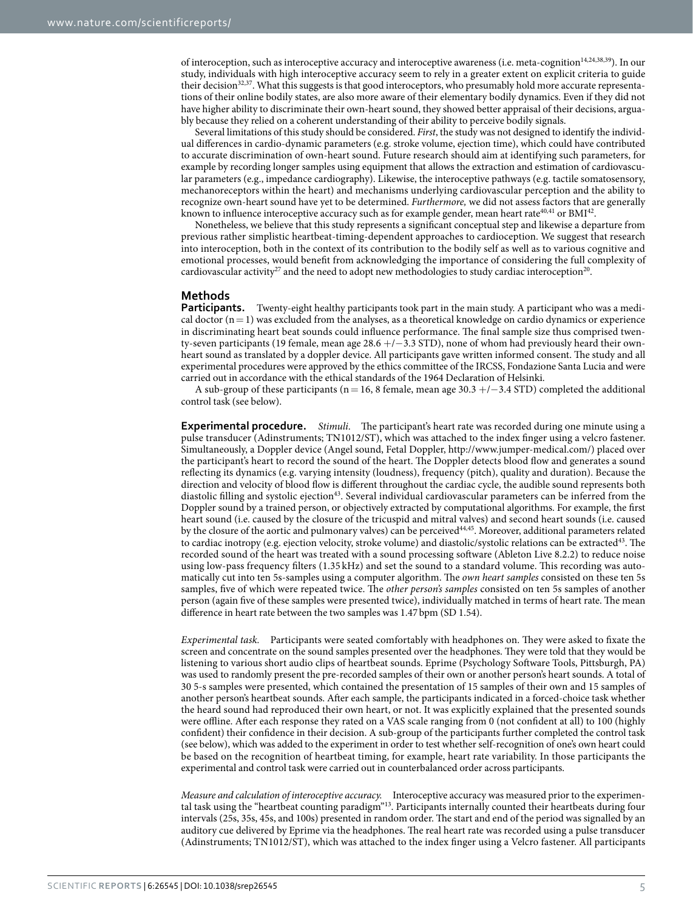of interoception, such as interoceptive accuracy and interoceptive awareness (i.e. meta-cognition[14,](#page-5-8)[24,](#page-6-1)[38,](#page-6-18)[39](#page-6-19)). In our study, individuals with high interoceptive accuracy seem to rely in a greater extent on explicit criteria to guide their decision<sup>32,37</sup>. What this suggests is that good interoceptors, who presumably hold more accurate representations of their online bodily states, are also more aware of their elementary bodily dynamics. Even if they did not have higher ability to discriminate their own-heart sound, they showed better appraisal of their decisions, arguably because they relied on a coherent understanding of their ability to perceive bodily signals.

Several limitations of this study should be considered. *First*, the study was not designed to identify the individual differences in cardio-dynamic parameters (e.g. stroke volume, ejection time), which could have contributed to accurate discrimination of own-heart sound. Future research should aim at identifying such parameters, for example by recording longer samples using equipment that allows the extraction and estimation of cardiovascular parameters (e.g., impedance cardiography). Likewise, the interoceptive pathways (e.g. tactile somatosensory, mechanoreceptors within the heart) and mechanisms underlying cardiovascular perception and the ability to recognize own-heart sound have yet to be determined. *Furthermore,* we did not assess factors that are generally known to influence interoceptive accuracy such as for example gender, mean heart rate $40,41$  $40,41$  or BMI $42$ .

Nonetheless, we believe that this study represents a significant conceptual step and likewise a departure from previous rather simplistic heartbeat-timing-dependent approaches to cardioception. We suggest that research into interoception, both in the context of its contribution to the bodily self as well as to various cognitive and emotional processes, would benefit from acknowledging the importance of considering the full complexity of cardiovascular activity<sup>27</sup> and the need to adopt new methodologies to study cardiac interoception<sup>20</sup>.

#### **Methods**

**Participants.** Twenty-eight healthy participants took part in the main study. A participant who was a medical doctor  $(n= 1)$  was excluded from the analyses, as a theoretical knowledge on cardio dynamics or experience in discriminating heart beat sounds could influence performance. The final sample size thus comprised twenty-seven participants (19 female, mean age 28.6 +/−3.3 STD), none of whom had previously heard their ownheart sound as translated by a doppler device. All participants gave written informed consent. The study and all experimental procedures were approved by the ethics committee of the IRCSS, Fondazione Santa Lucia and were carried out in accordance with the ethical standards of the 1964 Declaration of Helsinki.

A sub-group of these participants (n = 16, 8 female, mean age  $30.3 +/-3.4$  STD) completed the additional control task (see below).

**Experimental procedure.** *Stimuli*. The participant's heart rate was recorded during one minute using a pulse transducer (Adinstruments; TN1012/ST), which was attached to the index finger using a velcro fastener. Simultaneously, a Doppler device (Angel sound, Fetal Doppler,<http://www.jumper-medical.com/>) placed over the participant's heart to record the sound of the heart. The Doppler detects blood flow and generates a sound reflecting its dynamics (e.g. varying intensity (loudness), frequency (pitch), quality and duration). Because the direction and velocity of blood flow is different throughout the cardiac cycle, the audible sound represents both diastolic filling and systolic ejection<sup>43</sup>. Several individual cardiovascular parameters can be inferred from the Doppler sound by a trained person, or objectively extracted by computational algorithms. For example, the first heart sound (i.e. caused by the closure of the tricuspid and mitral valves) and second heart sounds (i.e. caused by the closure of the aortic and pulmonary valves) can be perceived<sup>[44,](#page-6-24)45</sup>. Moreover, additional parameters related to cardiac inotropy (e.g. ejection velocity, stroke volume) and diastolic/systolic relations can be extracted<sup>43</sup>. The recorded sound of the heart was treated with a sound processing software (Ableton Live 8.2.2) to reduce noise using low-pass frequency filters (1.35 kHz) and set the sound to a standard volume. This recording was automatically cut into ten 5s-samples using a computer algorithm. The *own heart samples* consisted on these ten 5s samples, five of which were repeated twice. The *other person's samples* consisted on ten 5s samples of another person (again five of these samples were presented twice), individually matched in terms of heart rate. The mean difference in heart rate between the two samples was 1.47 bpm (SD 1.54).

*Experimental task.* Participants were seated comfortably with headphones on. They were asked to fixate the screen and concentrate on the sound samples presented over the headphones. They were told that they would be listening to various short audio clips of heartbeat sounds. Eprime (Psychology Software Tools, Pittsburgh, PA) was used to randomly present the pre-recorded samples of their own or another person's heart sounds. A total of 30 5-s samples were presented, which contained the presentation of 15 samples of their own and 15 samples of another person's heartbeat sounds. After each sample, the participants indicated in a forced-choice task whether the heard sound had reproduced their own heart, or not. It was explicitly explained that the presented sounds were offline. After each response they rated on a VAS scale ranging from 0 (not confident at all) to 100 (highly confident) their confidence in their decision. A sub-group of the participants further completed the control task (see below), which was added to the experiment in order to test whether self-recognition of one's own heart could be based on the recognition of heartbeat timing, for example, heart rate variability. In those participants the experimental and control task were carried out in counterbalanced order across participants.

*Measure and calculation of interoceptive accuracy.* Interoceptive accuracy was measured prior to the experimental task using the "heartbeat counting paradigm"[13](#page-5-7). Participants internally counted their heartbeats during four intervals (25s, 35s, 45s, and 100s) presented in random order. The start and end of the period was signalled by an auditory cue delivered by Eprime via the headphones. The real heart rate was recorded using a pulse transducer (Adinstruments; TN1012/ST), which was attached to the index finger using a Velcro fastener. All participants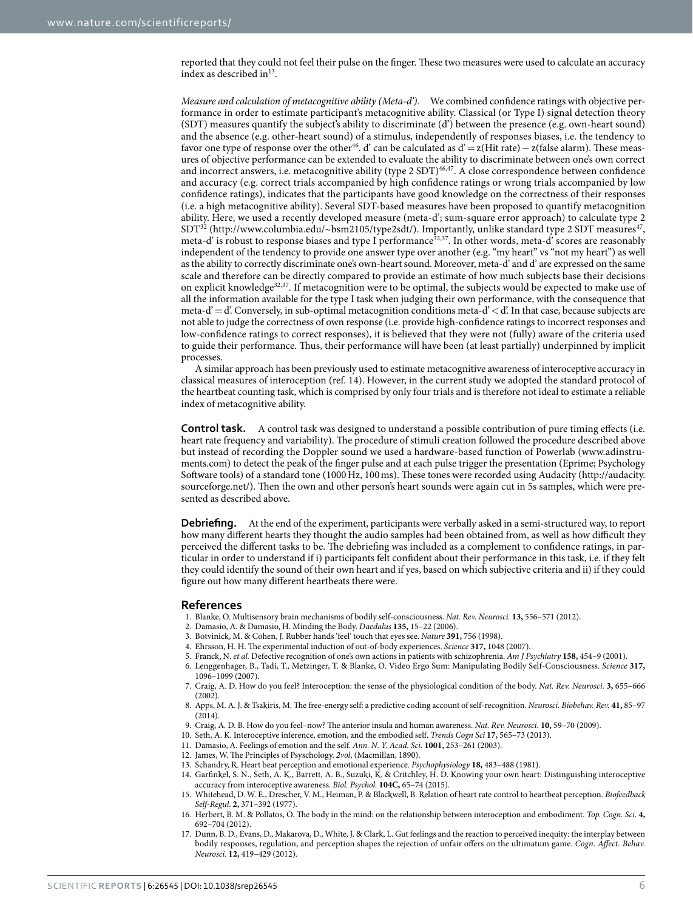reported that they could not feel their pulse on the finger. These two measures were used to calculate an accuracy index as described in $^{13}$  $^{13}$  $^{13}$ .

*Measure and calculation of metacognitive ability (Meta-d').* We combined confidence ratings with objective performance in order to estimate participant's metacognitive ability. Classical (or Type I) signal detection theory (SDT) measures quantify the subject's ability to discriminate (d') between the presence (e.g. own-heart sound) and the absence (e.g. other-heart sound) of a stimulus, independently of responses biases, i.e. the tendency to favor one type of response over the other<sup>[46](#page-6-26)</sup>. d' can be calculated as d'= z(Hit rate) – z(false alarm). These measures of objective performance can be extended to evaluate the ability to discriminate between one's own correct and incorrect answers, i.e. metacognitive ability (type 2 SDT)<sup>46[,47](#page-6-27)</sup>. A close correspondence between confidence and accuracy (e.g. correct trials accompanied by high confidence ratings or wrong trials accompanied by low confidence ratings), indicates that the participants have good knowledge on the correctness of their responses (i.e. a high metacognitive ability). Several SDT-based measures have been proposed to quantify metacognition ability. Here, we used a recently developed measure (meta-d'; sum-square error approach) to calculate type 2  $SDT^{32}$  [\(http://www.columbia.edu/~bsm2105/type2sdt/](http://www.columbia.edu/~bsm2105/type2sdt/)). Importantly, unlike standard type 2 SDT measures<sup>47</sup>, meta-d' is robust to response biases and type I performance<sup>[32](#page-6-12),[37](#page-6-17)</sup>. In other words, meta-d' scores are reasonably independent of the tendency to provide one answer type over another (e.g. "my heart" vs "not my heart") as well as the ability to correctly discriminate one's own-heart sound. Moreover, meta-d' and d' are expressed on the same scale and therefore can be directly compared to provide an estimate of how much subjects base their decisions on explicit knowledg[e32](#page-6-12),[37](#page-6-17). If metacognition were to be optimal, the subjects would be expected to make use of all the information available for the type I task when judging their own performance, with the consequence that meta-d' $=$ d'. Conversely, in sub-optimal metacognition conditions meta-d' $\lt d$ '. In that case, because subjects are not able to judge the correctness of own response (i.e. provide high-confidence ratings to incorrect responses and low-confidence ratings to correct responses), it is believed that they were not (fully) aware of the criteria used to guide their performance. Thus, their performance will have been (at least partially) underpinned by implicit processes.

A similar approach has been previously used to estimate metacognitive awareness of interoceptive accuracy in classical measures of interoception ([ref. 14](#page-5-8)). However, in the current study we adopted the standard protocol of the heartbeat counting task, which is comprised by only four trials and is therefore not ideal to estimate a reliable index of metacognitive ability.

**Control task.** A control task was designed to understand a possible contribution of pure timing effects (i.e. heart rate frequency and variability). The procedure of stimuli creation followed the procedure described above but instead of recording the Doppler sound we used a hardware-based function of Powerlab ([www.adinstru](http://www.adinstruments.com)[ments.com](http://www.adinstruments.com)) to detect the peak of the finger pulse and at each pulse trigger the presentation (Eprime; Psychology Software tools) of a standard tone (1000Hz, 100ms). These tones were recorded using Audacity [\(http://audacity.](http://audacity.sourceforge.net/) [sourceforge.net/\)](http://audacity.sourceforge.net/). Then the own and other person's heart sounds were again cut in 5s samples, which were presented as described above.

**Debriefing.** At the end of the experiment, participants were verbally asked in a semi-structured way, to report how many different hearts they thought the audio samples had been obtained from, as well as how difficult they perceived the different tasks to be. The debriefing was included as a complement to confidence ratings, in particular in order to understand if i) participants felt confident about their performance in this task, i.e. if they felt they could identify the sound of their own heart and if yes, based on which subjective criteria and ii) if they could figure out how many different heartbeats there were.

#### **References**

- <span id="page-5-0"></span>1. Blanke, O. Multisensory brain mechanisms of bodily self-consciousness. *Nat. Rev. Neurosci.* **13,** 556–571 (2012).
- <span id="page-5-1"></span>2. Damasio, A. & Damasio, H. Minding the Body. *Daedalus* **135,** 15–22 (2006).
- <span id="page-5-2"></span>3. Botvinick, M. & Cohen, J. Rubber hands 'feel' touch that eyes see. *Nature* **391,** 756 (1998).
- 4. Ehrsson, H. H. The experimental induction of out-of-body experiences. *Science* **317,** 1048 (2007).
- 5. Franck, N. *et al.* Defective recognition of one's own actions in patients with schizophrenia. *Am J Psychiatry* **158,** 454–9 (2001).
- 6. Lenggenhager, B., Tadi, T., Metzinger, T. & Blanke, O. Video Ergo Sum: Manipulating Bodily Self-Consciousness. *Science* **317,** 1096–1099 (2007).
- <span id="page-5-3"></span>7. Craig, A. D. How do you feel? Interoception: the sense of the physiological condition of the body. *Nat. Rev. Neurosci.* **3,** 655–666 (2002).
- <span id="page-5-4"></span>8. Apps, M. A. J. & Tsakiris, M. The free-energy self: a predictive coding account of self-recognition. *Neurosci. Biobehav. Rev.* **41,** 85–97  $(2014)$ .
- <span id="page-5-13"></span><span id="page-5-12"></span>9. Craig, A. D. B. How do you feel–now? The anterior insula and human awareness. *Nat. Rev. Neurosci.* **10,** 59–70 (2009).
- <span id="page-5-5"></span>10. Seth, A. K. Interoceptive inference, emotion, and the embodied self. *Trends Cogn Sci* **17,** 565–73 (2013).
- 11. Damasio, A. Feelings of emotion and the self. *Ann. N. Y. Acad. Sci.* **1001,** 253–261 (2003).
- <span id="page-5-7"></span><span id="page-5-6"></span>12. James, W. The Principles of Psyschology. *2vol*, (Macmillan, 1890).
- <span id="page-5-8"></span>13. Schandry, R. Heart beat perception and emotional experience. *Psychophysiology* **18,** 483–488 (1981).
- 14. Garfinkel, S. N., Seth, A. K., Barrett, A. B., Suzuki, K. & Critchley, H. D. Knowing your own heart: Distinguishing interoceptive accuracy from interoceptive awareness. *Biol. Psychol.* **104C,** 65–74 (2015).
- <span id="page-5-9"></span>15. Whitehead, D. W. E., Drescher, V. M., Heiman, P. & Blackwell, B. Relation of heart rate control to heartbeat perception. *Biofeedback Self-Regul*. **2,** 371–392 (1977).
- <span id="page-5-10"></span>16. Herbert, B. M. & Pollatos, O. The body in the mind: on the relationship between interoception and embodiment. *Top. Cogn. Sci*. **4,** 692–704 (2012).
- <span id="page-5-11"></span>17. Dunn, B. D., Evans, D., Makarova, D., White, J. & Clark, L. Gut feelings and the reaction to perceived inequity: the interplay between bodily responses, regulation, and perception shapes the rejection of unfair offers on the ultimatum game. *Cogn. Affect. Behav. Neurosci.* **12,** 419–429 (2012).